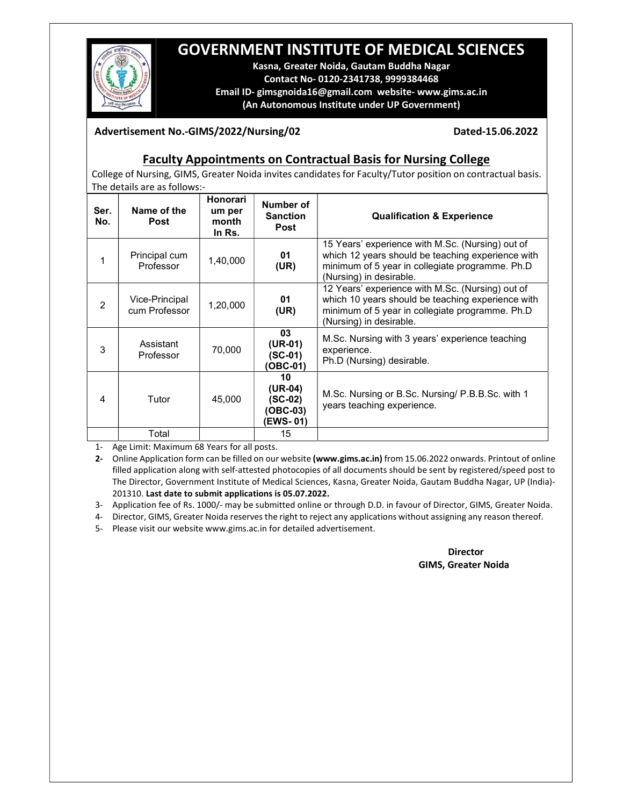# GOVERNMENT INSTITUTE OF MEDICAL SCIENCES



Kasna, Greater Noida, Gautam Buddha Nagar Contact No- 0120-2341738, 9999384468 Email ID- gimsgnoida16@gmail.com website- www.gims.ac.in (An Autonomous Institute under UP Government)

#### Advertisement No.-GIMS/2022/Nursing/02 Dated-15.06.2022

### Faculty Appointments on Contractual Basis for Nursing College

College of Nursing, GIMS, Greater Noida invites candidates for Faculty/Tutor position on contractual basis. The details are as follows:-

| Ser.<br>No.    | Name of the<br>Post             | Honorari<br>um per<br>month<br>In Rs. | Number of<br><b>Sanction</b><br><b>Post</b>        | <b>Qualification &amp; Experience</b>                                                                                                                                               |
|----------------|---------------------------------|---------------------------------------|----------------------------------------------------|-------------------------------------------------------------------------------------------------------------------------------------------------------------------------------------|
| 1              | Principal cum<br>Professor      | 1,40,000                              | 01<br>(UR)                                         | 15 Years' experience with M.Sc. (Nursing) out of<br>which 12 years should be teaching experience with<br>minimum of 5 year in collegiate programme. Ph.D<br>(Nursing) in desirable. |
| $\overline{2}$ | Vice-Principal<br>cum Professor | 1,20,000                              | 01<br>(UR)                                         | 12 Years' experience with M.Sc. (Nursing) out of<br>which 10 years should be teaching experience with<br>minimum of 5 year in collegiate programme. Ph.D<br>(Nursing) in desirable. |
| 3              | Assistant<br>Professor          | 70,000                                | 03<br>$(UR-01)$<br>$(SC-01)$<br><b>OBC-01)</b>     | M.Sc. Nursing with 3 years' experience teaching<br>experience.<br>Ph.D (Nursing) desirable.                                                                                         |
| 4              | Tutor                           | 45,000                                | 10<br>$(UR-04)$<br>(SC-02)<br>(OBC-03)<br>(EWS-01) | M.Sc. Nursing or B.Sc. Nursing/ P.B.B.Sc. with 1<br>years teaching experience.                                                                                                      |
|                | Total                           |                                       | 15                                                 |                                                                                                                                                                                     |

1- Age Limit: Maximum 68 Years for all posts.

2- Online Application form can be filled on our website (www.gims.ac.in) from 15.06.2022 onwards. Printout of online filled application along with self-attested photocopies of all documents should be sent by registered/speed post to The Director, Government Institute of Medical Sciences, Kasna, Greater Noida, Gautam Buddha Nagar, UP (India)- 201310. Last date to submit applications is 05.07.2022.

3- Application fee of Rs. 1000/- may be submitted online or through D.D. in favour of Director, GIMS, Greater Noida.

4- Director, GIMS, Greater Noida reserves the right to reject any applications without assigning any reason thereof.

5- Please visit our website www.gims.ac.in for detailed advertisement.

#### **Director** GIMS, Greater Noida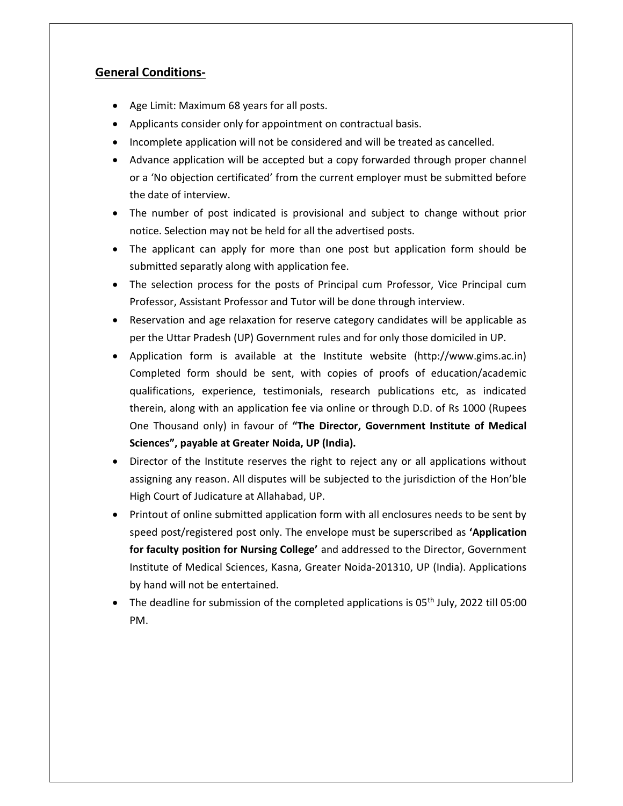## General Conditions-

- Age Limit: Maximum 68 years for all posts.
- Applicants consider only for appointment on contractual basis.
- Incomplete application will not be considered and will be treated as cancelled.
- Advance application will be accepted but a copy forwarded through proper channel or a 'No objection certificated' from the current employer must be submitted before the date of interview.
- The number of post indicated is provisional and subject to change without prior notice. Selection may not be held for all the advertised posts.
- The applicant can apply for more than one post but application form should be submitted separatly along with application fee.
- The selection process for the posts of Principal cum Professor, Vice Principal cum Professor, Assistant Professor and Tutor will be done through interview.
- Reservation and age relaxation for reserve category candidates will be applicable as per the Uttar Pradesh (UP) Government rules and for only those domiciled in UP.
- Application form is available at the Institute website (http://www.gims.ac.in) Completed form should be sent, with copies of proofs of education/academic qualifications, experience, testimonials, research publications etc, as indicated therein, along with an application fee via online or through D.D. of Rs 1000 (Rupees One Thousand only) in favour of "The Director, Government Institute of Medical Sciences", payable at Greater Noida, UP (India).
- Director of the Institute reserves the right to reject any or all applications without assigning any reason. All disputes will be subjected to the jurisdiction of the Hon'ble High Court of Judicature at Allahabad, UP.
- Printout of online submitted application form with all enclosures needs to be sent by speed post/registered post only. The envelope must be superscribed as 'Application for faculty position for Nursing College' and addressed to the Director, Government Institute of Medical Sciences, Kasna, Greater Noida-201310, UP (India). Applications by hand will not be entertained.
- The deadline for submission of the completed applications is  $05<sup>th</sup>$  July, 2022 till 05:00 PM.